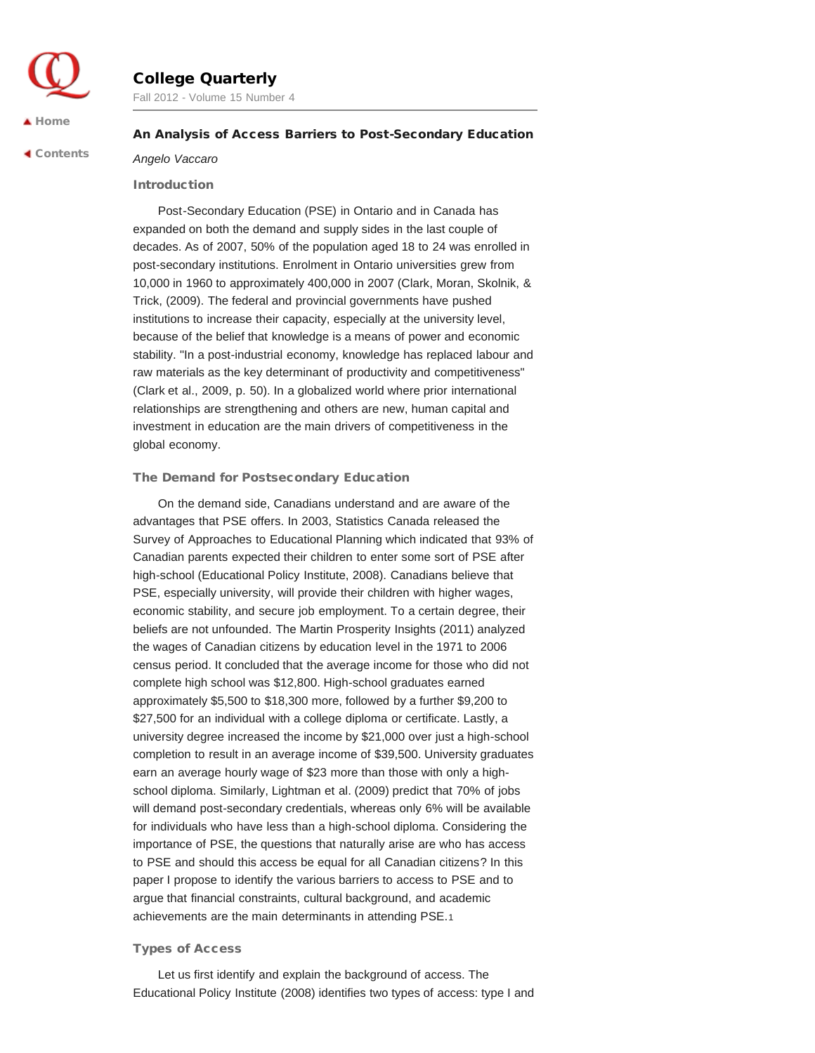# College Quarterly

Fall 2012 - Volume 15 Number 4

## $\blacktriangle$  [Home](http://collegequarterly.ca/index.html)

 [Contents](http://collegequarterly.ca/2012-vol15-num04-fall/index.html)

# An Analysis of Access Barriers to Post-Secondary Education

*Angelo Vaccaro*

# Introduction

Post-Secondary Education (PSE) in Ontario and in Canada has expanded on both the demand and supply sides in the last couple of decades. As of 2007, 50% of the population aged 18 to 24 was enrolled in post-secondary institutions. Enrolment in Ontario universities grew from 10,000 in 1960 to approximately 400,000 in 2007 (Clark, Moran, Skolnik, & Trick, (2009). The federal and provincial governments have pushed institutions to increase their capacity, especially at the university level, because of the belief that knowledge is a means of power and economic stability. "In a post-industrial economy, knowledge has replaced labour and raw materials as the key determinant of productivity and competitiveness" (Clark et al., 2009, p. 50). In a globalized world where prior international relationships are strengthening and others are new, human capital and investment in education are the main drivers of competitiveness in the global economy.

# The Demand for Postsecondary Education

On the demand side, Canadians understand and are aware of the advantages that PSE offers. In 2003, Statistics Canada released the Survey of Approaches to Educational Planning which indicated that 93% of Canadian parents expected their children to enter some sort of PSE after high-school (Educational Policy Institute, 2008). Canadians believe that PSE, especially university, will provide their children with higher wages, economic stability, and secure job employment. To a certain degree, their beliefs are not unfounded. The Martin Prosperity Insights (2011) analyzed the wages of Canadian citizens by education level in the 1971 to 2006 census period. It concluded that the average income for those who did not complete high school was \$12,800. High-school graduates earned approximately \$5,500 to \$18,300 more, followed by a further \$9,200 to \$27,500 for an individual with a college diploma or certificate. Lastly, a university degree increased the income by \$21,000 over just a high-school completion to result in an average income of \$39,500. University graduates earn an average hourly wage of \$23 more than those with only a highschool diploma. Similarly, Lightman et al. (2009) predict that 70% of jobs will demand post-secondary credentials, whereas only 6% will be available for individuals who have less than a high-school diploma. Considering the importance of PSE, the questions that naturally arise are who has access to PSE and should this access be equal for all Canadian citizens? In this paper I propose to identify the various barriers to access to PSE and to argue that financial constraints, cultural background, and academic achievements are the main determinants in attending PSE.1

# Types of Access

Let us first identify and explain the background of access. The Educational Policy Institute (2008) identifies two types of access: type I and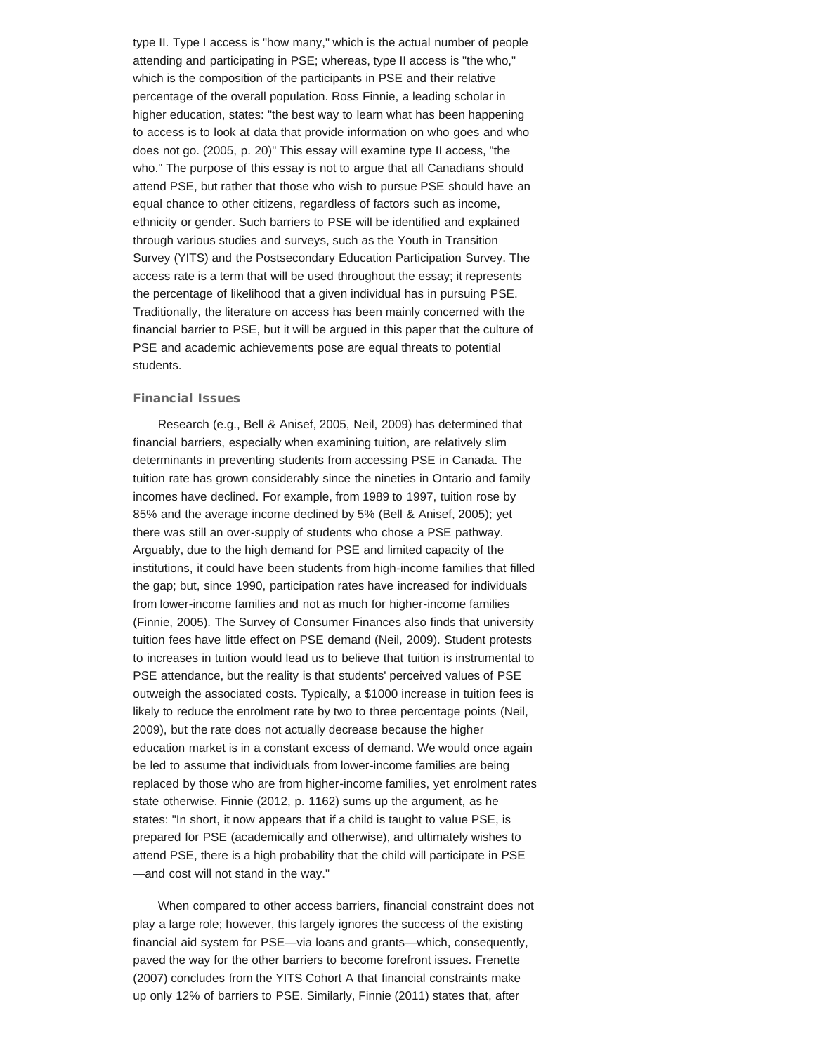type II. Type I access is "how many," which is the actual number of people attending and participating in PSE; whereas, type II access is "the who," which is the composition of the participants in PSE and their relative percentage of the overall population. Ross Finnie, a leading scholar in higher education, states: "the best way to learn what has been happening to access is to look at data that provide information on who goes and who does not go. (2005, p. 20)" This essay will examine type II access, "the who." The purpose of this essay is not to argue that all Canadians should attend PSE, but rather that those who wish to pursue PSE should have an equal chance to other citizens, regardless of factors such as income, ethnicity or gender. Such barriers to PSE will be identified and explained through various studies and surveys, such as the Youth in Transition Survey (YITS) and the Postsecondary Education Participation Survey. The access rate is a term that will be used throughout the essay; it represents the percentage of likelihood that a given individual has in pursuing PSE. Traditionally, the literature on access has been mainly concerned with the financial barrier to PSE, but it will be argued in this paper that the culture of PSE and academic achievements pose are equal threats to potential students.

#### Financial Issues

Research (e.g., Bell & Anisef, 2005, Neil, 2009) has determined that financial barriers, especially when examining tuition, are relatively slim determinants in preventing students from accessing PSE in Canada. The tuition rate has grown considerably since the nineties in Ontario and family incomes have declined. For example, from 1989 to 1997, tuition rose by 85% and the average income declined by 5% (Bell & Anisef, 2005); yet there was still an over-supply of students who chose a PSE pathway. Arguably, due to the high demand for PSE and limited capacity of the institutions, it could have been students from high-income families that filled the gap; but, since 1990, participation rates have increased for individuals from lower-income families and not as much for higher-income families (Finnie, 2005). The Survey of Consumer Finances also finds that university tuition fees have little effect on PSE demand (Neil, 2009). Student protests to increases in tuition would lead us to believe that tuition is instrumental to PSE attendance, but the reality is that students' perceived values of PSE outweigh the associated costs. Typically, a \$1000 increase in tuition fees is likely to reduce the enrolment rate by two to three percentage points (Neil, 2009), but the rate does not actually decrease because the higher education market is in a constant excess of demand. We would once again be led to assume that individuals from lower-income families are being replaced by those who are from higher-income families, yet enrolment rates state otherwise. Finnie (2012, p. 1162) sums up the argument, as he states: "In short, it now appears that if a child is taught to value PSE, is prepared for PSE (academically and otherwise), and ultimately wishes to attend PSE, there is a high probability that the child will participate in PSE —and cost will not stand in the way."

When compared to other access barriers, financial constraint does not play a large role; however, this largely ignores the success of the existing financial aid system for PSE—via loans and grants—which, consequently, paved the way for the other barriers to become forefront issues. Frenette (2007) concludes from the YITS Cohort A that financial constraints make up only 12% of barriers to PSE. Similarly, Finnie (2011) states that, after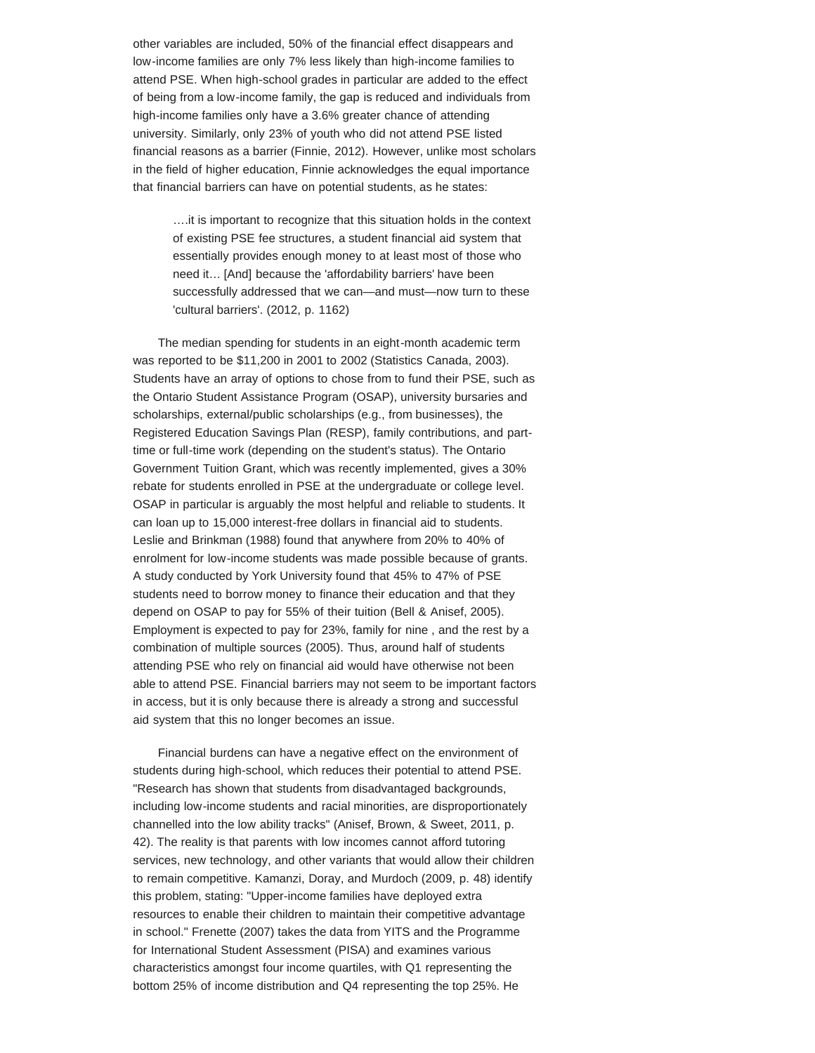other variables are included, 50% of the financial effect disappears and low-income families are only 7% less likely than high-income families to attend PSE. When high-school grades in particular are added to the effect of being from a low-income family, the gap is reduced and individuals from high-income families only have a 3.6% greater chance of attending university. Similarly, only 23% of youth who did not attend PSE listed financial reasons as a barrier (Finnie, 2012). However, unlike most scholars in the field of higher education, Finnie acknowledges the equal importance that financial barriers can have on potential students, as he states:

….it is important to recognize that this situation holds in the context of existing PSE fee structures, a student financial aid system that essentially provides enough money to at least most of those who need it… [And] because the 'affordability barriers' have been successfully addressed that we can—and must—now turn to these 'cultural barriers'. (2012, p. 1162)

The median spending for students in an eight-month academic term was reported to be \$11,200 in 2001 to 2002 (Statistics Canada, 2003). Students have an array of options to chose from to fund their PSE, such as the Ontario Student Assistance Program (OSAP), university bursaries and scholarships, external/public scholarships (e.g., from businesses), the Registered Education Savings Plan (RESP), family contributions, and parttime or full-time work (depending on the student's status). The Ontario Government Tuition Grant, which was recently implemented, gives a 30% rebate for students enrolled in PSE at the undergraduate or college level. OSAP in particular is arguably the most helpful and reliable to students. It can loan up to 15,000 interest-free dollars in financial aid to students. Leslie and Brinkman (1988) found that anywhere from 20% to 40% of enrolment for low-income students was made possible because of grants. A study conducted by York University found that 45% to 47% of PSE students need to borrow money to finance their education and that they depend on OSAP to pay for 55% of their tuition (Bell & Anisef, 2005). Employment is expected to pay for 23%, family for nine , and the rest by a combination of multiple sources (2005). Thus, around half of students attending PSE who rely on financial aid would have otherwise not been able to attend PSE. Financial barriers may not seem to be important factors in access, but it is only because there is already a strong and successful aid system that this no longer becomes an issue.

Financial burdens can have a negative effect on the environment of students during high-school, which reduces their potential to attend PSE. "Research has shown that students from disadvantaged backgrounds, including low-income students and racial minorities, are disproportionately channelled into the low ability tracks" (Anisef, Brown, & Sweet, 2011, p. 42). The reality is that parents with low incomes cannot afford tutoring services, new technology, and other variants that would allow their children to remain competitive. Kamanzi, Doray, and Murdoch (2009, p. 48) identify this problem, stating: "Upper-income families have deployed extra resources to enable their children to maintain their competitive advantage in school." Frenette (2007) takes the data from YITS and the Programme for International Student Assessment (PISA) and examines various characteristics amongst four income quartiles, with Q1 representing the bottom 25% of income distribution and Q4 representing the top 25%. He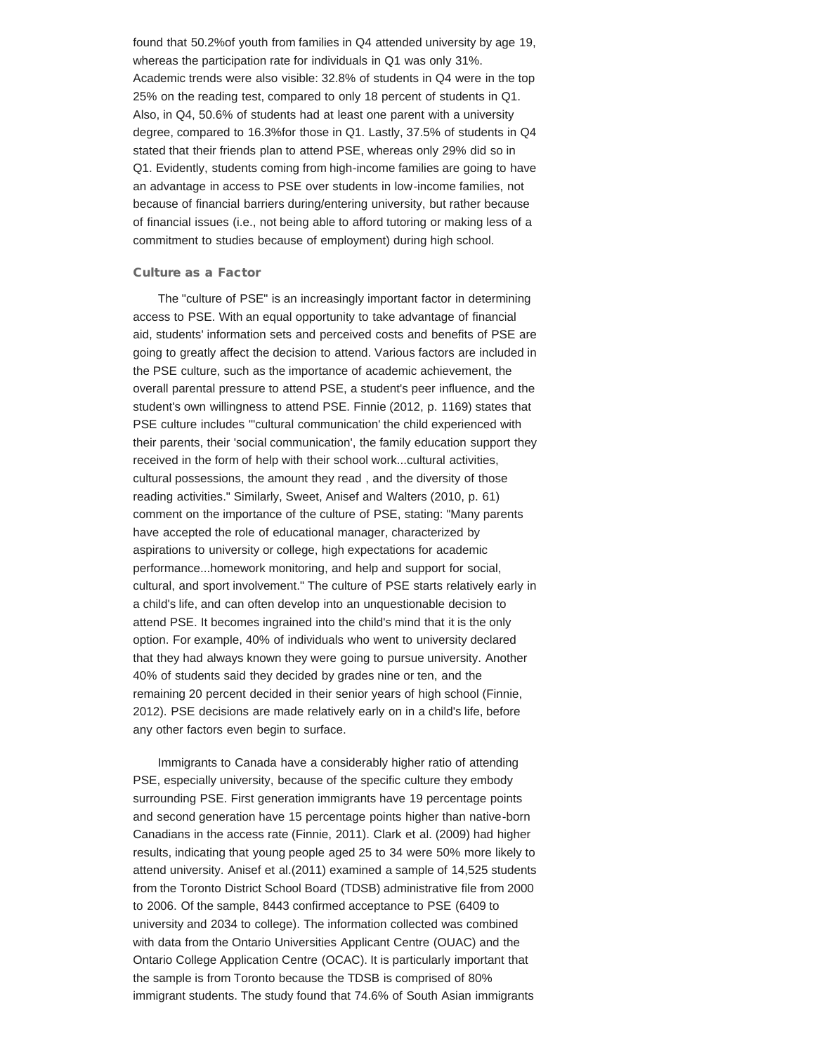found that 50.2%of youth from families in Q4 attended university by age 19, whereas the participation rate for individuals in Q1 was only 31%. Academic trends were also visible: 32.8% of students in Q4 were in the top 25% on the reading test, compared to only 18 percent of students in Q1. Also, in Q4, 50.6% of students had at least one parent with a university degree, compared to 16.3%for those in Q1. Lastly, 37.5% of students in Q4 stated that their friends plan to attend PSE, whereas only 29% did so in Q1. Evidently, students coming from high-income families are going to have an advantage in access to PSE over students in low-income families, not because of financial barriers during/entering university, but rather because of financial issues (i.e., not being able to afford tutoring or making less of a commitment to studies because of employment) during high school.

#### Culture as a Factor

The "culture of PSE" is an increasingly important factor in determining access to PSE. With an equal opportunity to take advantage of financial aid, students' information sets and perceived costs and benefits of PSE are going to greatly affect the decision to attend. Various factors are included in the PSE culture, such as the importance of academic achievement, the overall parental pressure to attend PSE, a student's peer influence, and the student's own willingness to attend PSE. Finnie (2012, p. 1169) states that PSE culture includes "'cultural communication' the child experienced with their parents, their 'social communication', the family education support they received in the form of help with their school work...cultural activities, cultural possessions, the amount they read , and the diversity of those reading activities." Similarly, Sweet, Anisef and Walters (2010, p. 61) comment on the importance of the culture of PSE, stating: "Many parents have accepted the role of educational manager, characterized by aspirations to university or college, high expectations for academic performance...homework monitoring, and help and support for social, cultural, and sport involvement." The culture of PSE starts relatively early in a child's life, and can often develop into an unquestionable decision to attend PSE. It becomes ingrained into the child's mind that it is the only option. For example, 40% of individuals who went to university declared that they had always known they were going to pursue university. Another 40% of students said they decided by grades nine or ten, and the remaining 20 percent decided in their senior years of high school (Finnie, 2012). PSE decisions are made relatively early on in a child's life, before any other factors even begin to surface.

Immigrants to Canada have a considerably higher ratio of attending PSE, especially university, because of the specific culture they embody surrounding PSE. First generation immigrants have 19 percentage points and second generation have 15 percentage points higher than native-born Canadians in the access rate (Finnie, 2011). Clark et al. (2009) had higher results, indicating that young people aged 25 to 34 were 50% more likely to attend university. Anisef et al.(2011) examined a sample of 14,525 students from the Toronto District School Board (TDSB) administrative file from 2000 to 2006. Of the sample, 8443 confirmed acceptance to PSE (6409 to university and 2034 to college). The information collected was combined with data from the Ontario Universities Applicant Centre (OUAC) and the Ontario College Application Centre (OCAC). It is particularly important that the sample is from Toronto because the TDSB is comprised of 80% immigrant students. The study found that 74.6% of South Asian immigrants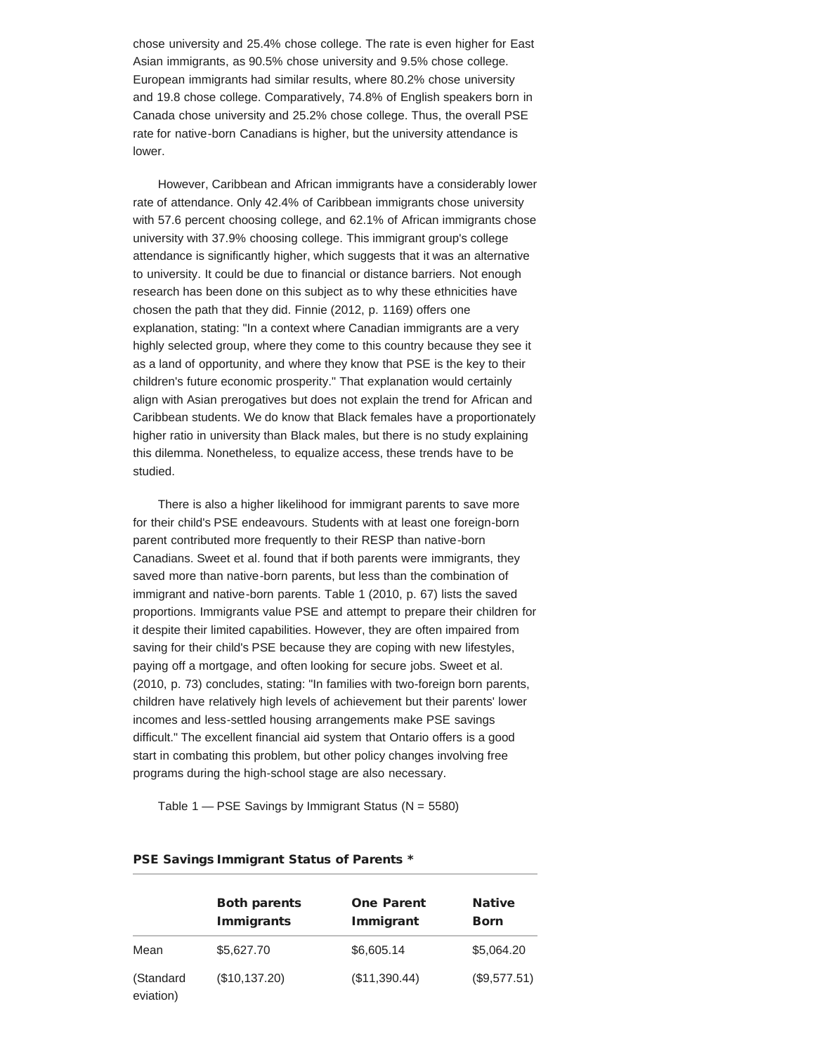chose university and 25.4% chose college. The rate is even higher for East Asian immigrants, as 90.5% chose university and 9.5% chose college. European immigrants had similar results, where 80.2% chose university and 19.8 chose college. Comparatively, 74.8% of English speakers born in Canada chose university and 25.2% chose college. Thus, the overall PSE rate for native-born Canadians is higher, but the university attendance is lower.

However, Caribbean and African immigrants have a considerably lower rate of attendance. Only 42.4% of Caribbean immigrants chose university with 57.6 percent choosing college, and 62.1% of African immigrants chose university with 37.9% choosing college. This immigrant group's college attendance is significantly higher, which suggests that it was an alternative to university. It could be due to financial or distance barriers. Not enough research has been done on this subject as to why these ethnicities have chosen the path that they did. Finnie (2012, p. 1169) offers one explanation, stating: "In a context where Canadian immigrants are a very highly selected group, where they come to this country because they see it as a land of opportunity, and where they know that PSE is the key to their children's future economic prosperity." That explanation would certainly align with Asian prerogatives but does not explain the trend for African and Caribbean students. We do know that Black females have a proportionately higher ratio in university than Black males, but there is no study explaining this dilemma. Nonetheless, to equalize access, these trends have to be studied.

There is also a higher likelihood for immigrant parents to save more for their child's PSE endeavours. Students with at least one foreign-born parent contributed more frequently to their RESP than native-born Canadians. Sweet et al. found that if both parents were immigrants, they saved more than native-born parents, but less than the combination of immigrant and native-born parents. Table 1 (2010, p. 67) lists the saved proportions. Immigrants value PSE and attempt to prepare their children for it despite their limited capabilities. However, they are often impaired from saving for their child's PSE because they are coping with new lifestyles, paying off a mortgage, and often looking for secure jobs. Sweet et al. (2010, p. 73) concludes, stating: "In families with two-foreign born parents, children have relatively high levels of achievement but their parents' lower incomes and less-settled housing arrangements make PSE savings difficult." The excellent financial aid system that Ontario offers is a good start in combating this problem, but other policy changes involving free programs during the high-school stage are also necessary.

Table  $1 - PSE$  Savings by Immigrant Status ( $N = 5580$ )

|                        | <b>Both parents</b><br><b>Immigrants</b> | <b>One Parent</b><br>Immigrant | <b>Native</b><br><b>Born</b> |
|------------------------|------------------------------------------|--------------------------------|------------------------------|
| Mean                   | \$5,627.70                               | \$6,605.14                     | \$5,064.20                   |
| (Standard<br>eviation) | (\$10,137.20)                            | (\$11,390.44)                  | (\$9,577.51)                 |

#### PSE Savings Immigrant Status of Parents \*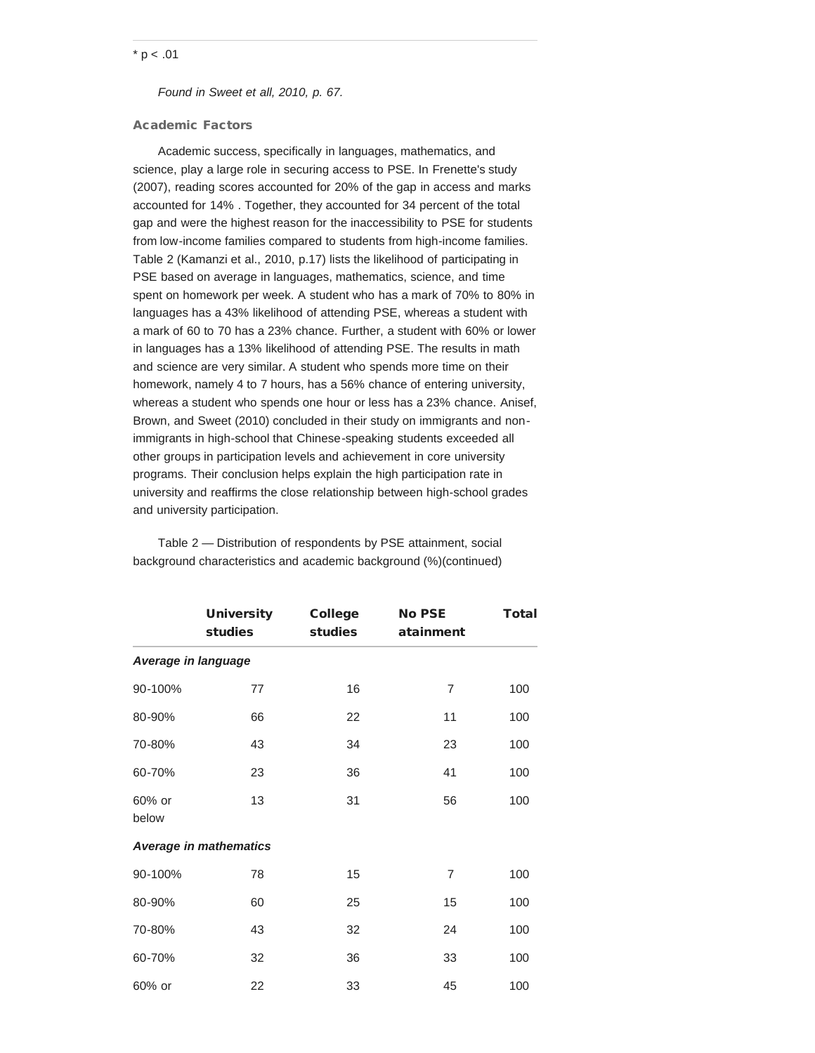## $*$  p < .01

*Found in Sweet et all, 2010, p. 67.*

## Academic Factors

Academic success, specifically in languages, mathematics, and science, play a large role in securing access to PSE. In Frenette's study (2007), reading scores accounted for 20% of the gap in access and marks accounted for 14% . Together, they accounted for 34 percent of the total gap and were the highest reason for the inaccessibility to PSE for students from low-income families compared to students from high-income families. Table 2 (Kamanzi et al., 2010, p.17) lists the likelihood of participating in PSE based on average in languages, mathematics, science, and time spent on homework per week. A student who has a mark of 70% to 80% in languages has a 43% likelihood of attending PSE, whereas a student with a mark of 60 to 70 has a 23% chance. Further, a student with 60% or lower in languages has a 13% likelihood of attending PSE. The results in math and science are very similar. A student who spends more time on their homework, namely 4 to 7 hours, has a 56% chance of entering university, whereas a student who spends one hour or less has a 23% chance. Anisef, Brown, and Sweet (2010) concluded in their study on immigrants and nonimmigrants in high-school that Chinese-speaking students exceeded all other groups in participation levels and achievement in core university programs. Their conclusion helps explain the high participation rate in university and reaffirms the close relationship between high-school grades and university participation.

|                     | <b>University</b><br>studies  | <b>College</b><br>studies | <b>No PSE</b><br>atainment | <b>Total</b> |  |  |  |
|---------------------|-------------------------------|---------------------------|----------------------------|--------------|--|--|--|
| Average in language |                               |                           |                            |              |  |  |  |
| 90-100%             | 77                            | 16                        | 7                          | 100          |  |  |  |
| 80-90%              | 66                            | 22                        | 11                         | 100          |  |  |  |
| 70-80%              | 43                            | 34                        | 23                         | 100          |  |  |  |
| 60-70%              | 23                            | 36                        | 41                         | 100          |  |  |  |
| 60% or<br>below     | 13                            | 31                        | 56                         | 100          |  |  |  |
|                     | <b>Average in mathematics</b> |                           |                            |              |  |  |  |
| 90-100%             | 78                            | 15                        | 7                          | 100          |  |  |  |
| 80-90%              | 60                            | 25                        | 15                         | 100          |  |  |  |
| 70-80%              | 43                            | 32                        | 24                         | 100          |  |  |  |
| 60-70%              | 32                            | 36                        | 33                         | 100          |  |  |  |
| 60% or              | 22                            | 33                        | 45                         | 100          |  |  |  |

Table 2 — Distribution of respondents by PSE attainment, social background characteristics and academic background (%)(continued)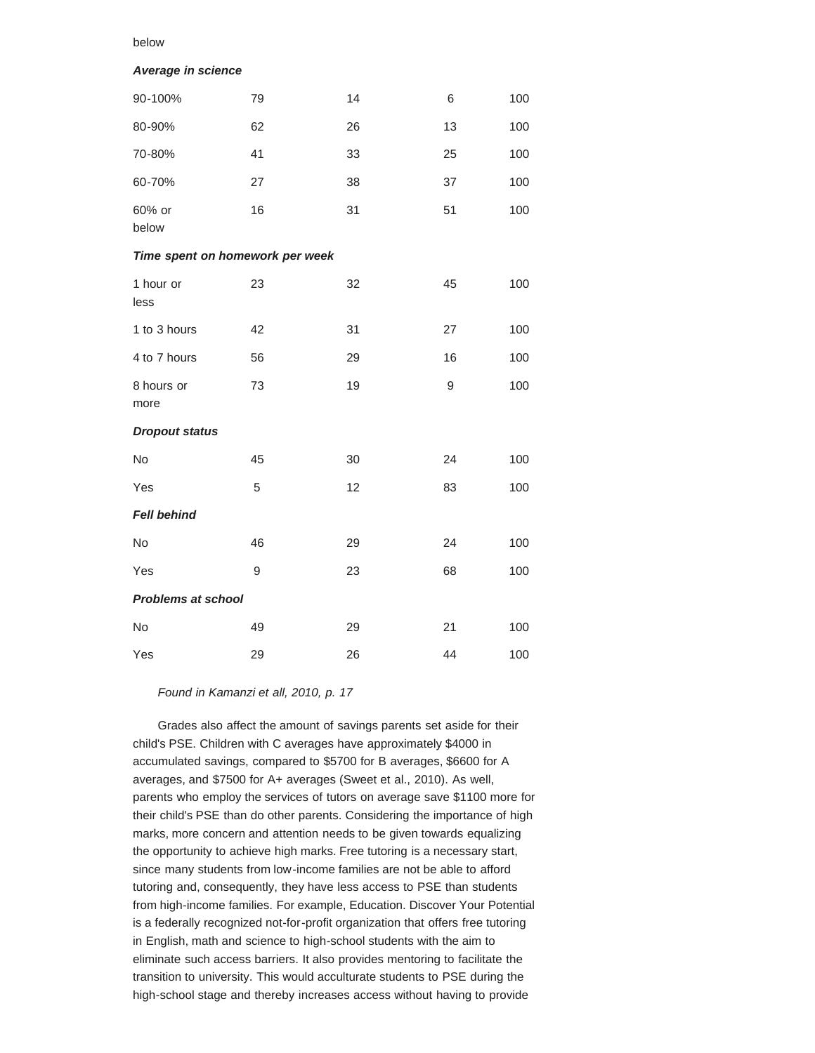### below

#### *Average in science*

| 90-100%                         | 79 | 14 | 6  | 100 |
|---------------------------------|----|----|----|-----|
| 80-90%                          | 62 | 26 | 13 | 100 |
| 70-80%                          | 41 | 33 | 25 | 100 |
| 60-70%                          | 27 | 38 | 37 | 100 |
| 60% or<br>below                 | 16 | 31 | 51 | 100 |
| Time spent on homework per week |    |    |    |     |
| 1 hour or<br>less               | 23 | 32 | 45 | 100 |
| 1 to 3 hours                    | 42 | 31 | 27 | 100 |
| 4 to 7 hours                    | 56 | 29 | 16 | 100 |
| 8 hours or<br>more              | 73 | 19 | 9  | 100 |
| <b>Dropout status</b>           |    |    |    |     |
| No                              | 45 | 30 | 24 | 100 |
| Yes                             | 5  | 12 | 83 | 100 |
| <b>Fell behind</b>              |    |    |    |     |
| No                              | 46 | 29 | 24 | 100 |
| Yes                             | 9  | 23 | 68 | 100 |
| <b>Problems at school</b>       |    |    |    |     |
| No                              | 49 | 29 | 21 | 100 |
| Yes                             | 29 | 26 | 44 | 100 |

*Found in Kamanzi et all, 2010, p. 17*

Grades also affect the amount of savings parents set aside for their child's PSE. Children with C averages have approximately \$4000 in accumulated savings, compared to \$5700 for B averages, \$6600 for A averages, and \$7500 for A+ averages (Sweet et al., 2010). As well, parents who employ the services of tutors on average save \$1100 more for their child's PSE than do other parents. Considering the importance of high marks, more concern and attention needs to be given towards equalizing the opportunity to achieve high marks. Free tutoring is a necessary start, since many students from low-income families are not be able to afford tutoring and, consequently, they have less access to PSE than students from high-income families. For example, Education. Discover Your Potential is a federally recognized not-for-profit organization that offers free tutoring in English, math and science to high-school students with the aim to eliminate such access barriers. It also provides mentoring to facilitate the transition to university. This would acculturate students to PSE during the high-school stage and thereby increases access without having to provide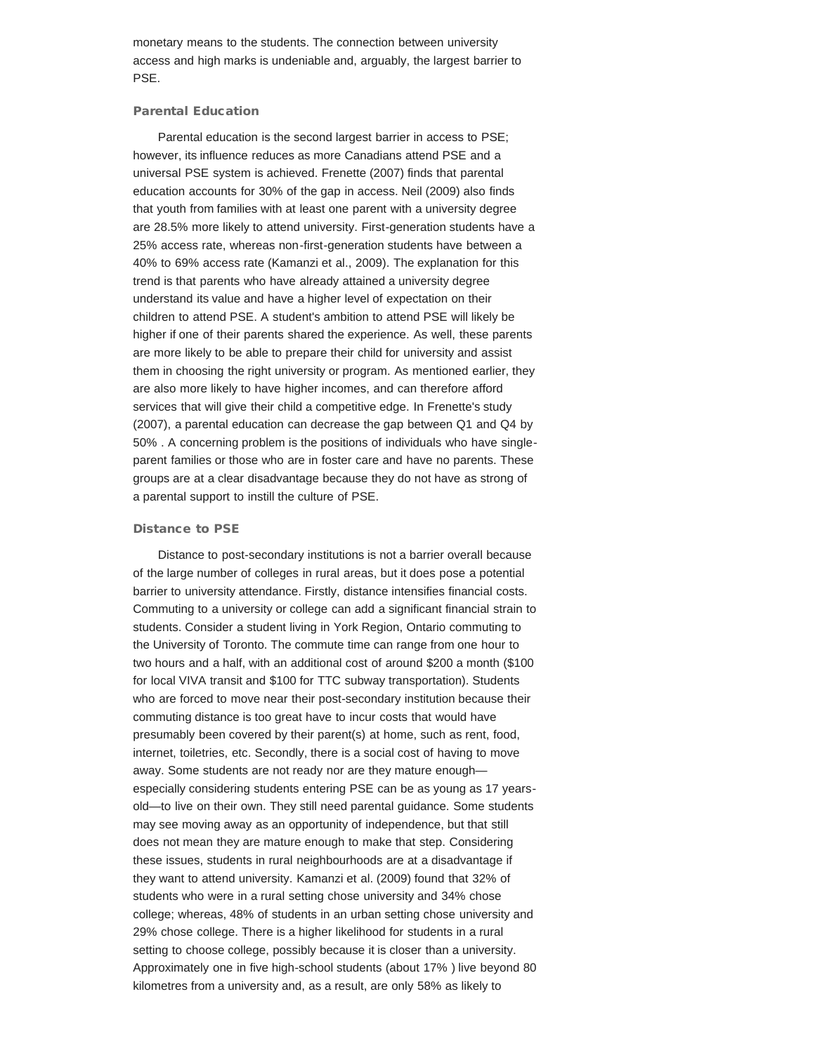monetary means to the students. The connection between university access and high marks is undeniable and, arguably, the largest barrier to PSE.

## Parental Education

Parental education is the second largest barrier in access to PSE; however, its influence reduces as more Canadians attend PSE and a universal PSE system is achieved. Frenette (2007) finds that parental education accounts for 30% of the gap in access. Neil (2009) also finds that youth from families with at least one parent with a university degree are 28.5% more likely to attend university. First-generation students have a 25% access rate, whereas non-first-generation students have between a 40% to 69% access rate (Kamanzi et al., 2009). The explanation for this trend is that parents who have already attained a university degree understand its value and have a higher level of expectation on their children to attend PSE. A student's ambition to attend PSE will likely be higher if one of their parents shared the experience. As well, these parents are more likely to be able to prepare their child for university and assist them in choosing the right university or program. As mentioned earlier, they are also more likely to have higher incomes, and can therefore afford services that will give their child a competitive edge. In Frenette's study (2007), a parental education can decrease the gap between Q1 and Q4 by 50% . A concerning problem is the positions of individuals who have singleparent families or those who are in foster care and have no parents. These groups are at a clear disadvantage because they do not have as strong of a parental support to instill the culture of PSE.

#### Distance to PSE

Distance to post-secondary institutions is not a barrier overall because of the large number of colleges in rural areas, but it does pose a potential barrier to university attendance. Firstly, distance intensifies financial costs. Commuting to a university or college can add a significant financial strain to students. Consider a student living in York Region, Ontario commuting to the University of Toronto. The commute time can range from one hour to two hours and a half, with an additional cost of around \$200 a month (\$100 for local VIVA transit and \$100 for TTC subway transportation). Students who are forced to move near their post-secondary institution because their commuting distance is too great have to incur costs that would have presumably been covered by their parent(s) at home, such as rent, food, internet, toiletries, etc. Secondly, there is a social cost of having to move away. Some students are not ready nor are they mature enough especially considering students entering PSE can be as young as 17 yearsold—to live on their own. They still need parental guidance. Some students may see moving away as an opportunity of independence, but that still does not mean they are mature enough to make that step. Considering these issues, students in rural neighbourhoods are at a disadvantage if they want to attend university. Kamanzi et al. (2009) found that 32% of students who were in a rural setting chose university and 34% chose college; whereas, 48% of students in an urban setting chose university and 29% chose college. There is a higher likelihood for students in a rural setting to choose college, possibly because it is closer than a university. Approximately one in five high-school students (about 17% ) live beyond 80 kilometres from a university and, as a result, are only 58% as likely to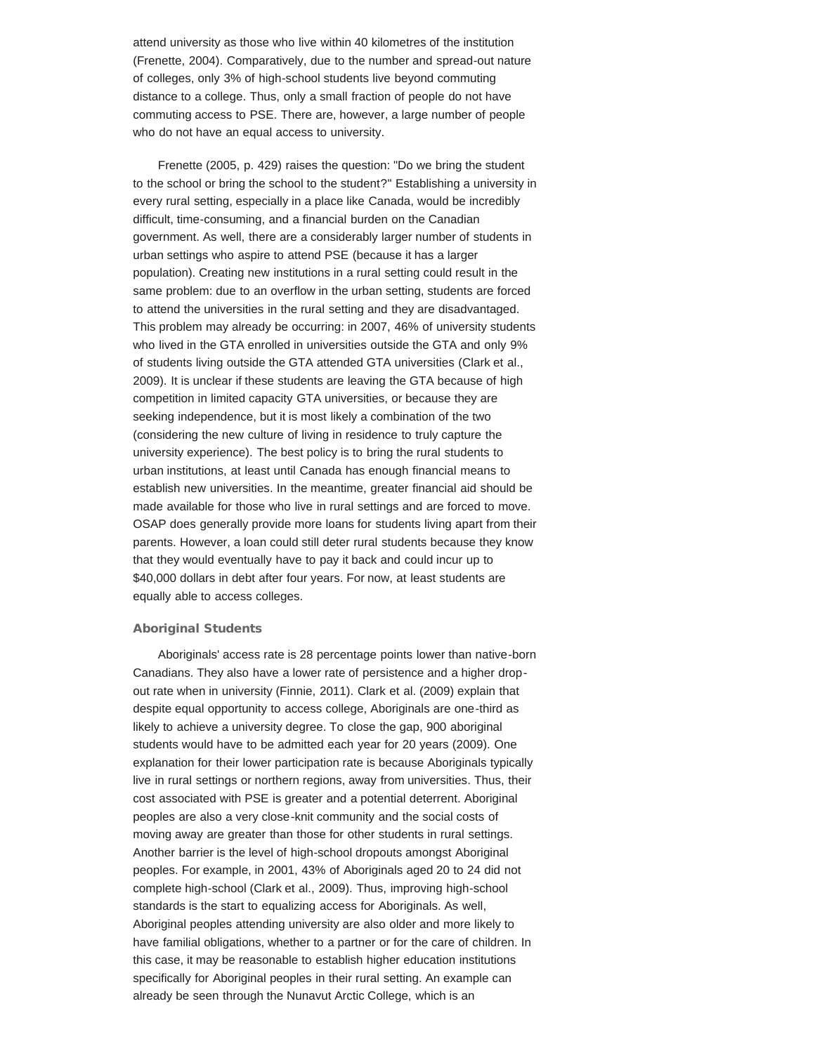attend university as those who live within 40 kilometres of the institution (Frenette, 2004). Comparatively, due to the number and spread-out nature of colleges, only 3% of high-school students live beyond commuting distance to a college. Thus, only a small fraction of people do not have commuting access to PSE. There are, however, a large number of people who do not have an equal access to university.

Frenette (2005, p. 429) raises the question: "Do we bring the student to the school or bring the school to the student?" Establishing a university in every rural setting, especially in a place like Canada, would be incredibly difficult, time-consuming, and a financial burden on the Canadian government. As well, there are a considerably larger number of students in urban settings who aspire to attend PSE (because it has a larger population). Creating new institutions in a rural setting could result in the same problem: due to an overflow in the urban setting, students are forced to attend the universities in the rural setting and they are disadvantaged. This problem may already be occurring: in 2007, 46% of university students who lived in the GTA enrolled in universities outside the GTA and only 9% of students living outside the GTA attended GTA universities (Clark et al., 2009). It is unclear if these students are leaving the GTA because of high competition in limited capacity GTA universities, or because they are seeking independence, but it is most likely a combination of the two (considering the new culture of living in residence to truly capture the university experience). The best policy is to bring the rural students to urban institutions, at least until Canada has enough financial means to establish new universities. In the meantime, greater financial aid should be made available for those who live in rural settings and are forced to move. OSAP does generally provide more loans for students living apart from their parents. However, a loan could still deter rural students because they know that they would eventually have to pay it back and could incur up to \$40,000 dollars in debt after four years. For now, at least students are equally able to access colleges.

### Aboriginal Students

Aboriginals' access rate is 28 percentage points lower than native-born Canadians. They also have a lower rate of persistence and a higher dropout rate when in university (Finnie, 2011). Clark et al. (2009) explain that despite equal opportunity to access college, Aboriginals are one-third as likely to achieve a university degree. To close the gap, 900 aboriginal students would have to be admitted each year for 20 years (2009). One explanation for their lower participation rate is because Aboriginals typically live in rural settings or northern regions, away from universities. Thus, their cost associated with PSE is greater and a potential deterrent. Aboriginal peoples are also a very close-knit community and the social costs of moving away are greater than those for other students in rural settings. Another barrier is the level of high-school dropouts amongst Aboriginal peoples. For example, in 2001, 43% of Aboriginals aged 20 to 24 did not complete high-school (Clark et al., 2009). Thus, improving high-school standards is the start to equalizing access for Aboriginals. As well, Aboriginal peoples attending university are also older and more likely to have familial obligations, whether to a partner or for the care of children. In this case, it may be reasonable to establish higher education institutions specifically for Aboriginal peoples in their rural setting. An example can already be seen through the Nunavut Arctic College, which is an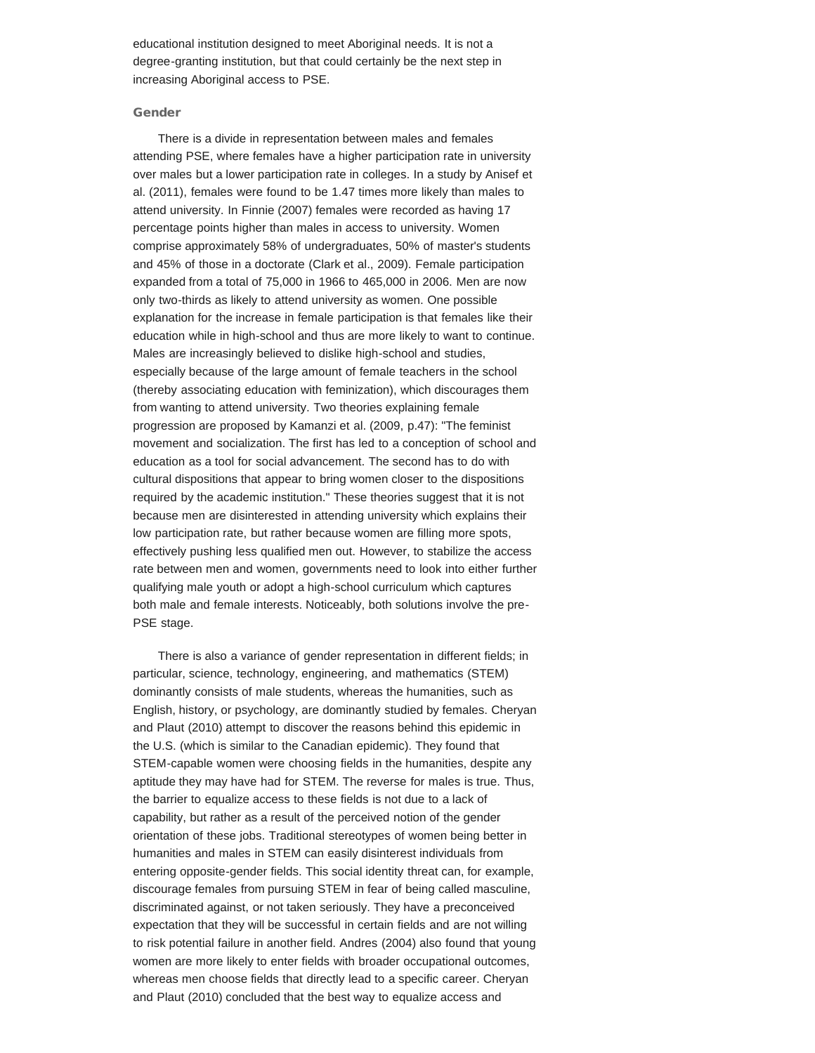educational institution designed to meet Aboriginal needs. It is not a degree-granting institution, but that could certainly be the next step in increasing Aboriginal access to PSE.

#### Gender

There is a divide in representation between males and females attending PSE, where females have a higher participation rate in university over males but a lower participation rate in colleges. In a study by Anisef et al. (2011), females were found to be 1.47 times more likely than males to attend university. In Finnie (2007) females were recorded as having 17 percentage points higher than males in access to university. Women comprise approximately 58% of undergraduates, 50% of master's students and 45% of those in a doctorate (Clark et al., 2009). Female participation expanded from a total of 75,000 in 1966 to 465,000 in 2006. Men are now only two-thirds as likely to attend university as women. One possible explanation for the increase in female participation is that females like their education while in high-school and thus are more likely to want to continue. Males are increasingly believed to dislike high-school and studies, especially because of the large amount of female teachers in the school (thereby associating education with feminization), which discourages them from wanting to attend university. Two theories explaining female progression are proposed by Kamanzi et al. (2009, p.47): "The feminist movement and socialization. The first has led to a conception of school and education as a tool for social advancement. The second has to do with cultural dispositions that appear to bring women closer to the dispositions required by the academic institution." These theories suggest that it is not because men are disinterested in attending university which explains their low participation rate, but rather because women are filling more spots, effectively pushing less qualified men out. However, to stabilize the access rate between men and women, governments need to look into either further qualifying male youth or adopt a high-school curriculum which captures both male and female interests. Noticeably, both solutions involve the pre-PSE stage.

There is also a variance of gender representation in different fields; in particular, science, technology, engineering, and mathematics (STEM) dominantly consists of male students, whereas the humanities, such as English, history, or psychology, are dominantly studied by females. Cheryan and Plaut (2010) attempt to discover the reasons behind this epidemic in the U.S. (which is similar to the Canadian epidemic). They found that STEM-capable women were choosing fields in the humanities, despite any aptitude they may have had for STEM. The reverse for males is true. Thus, the barrier to equalize access to these fields is not due to a lack of capability, but rather as a result of the perceived notion of the gender orientation of these jobs. Traditional stereotypes of women being better in humanities and males in STEM can easily disinterest individuals from entering opposite-gender fields. This social identity threat can, for example, discourage females from pursuing STEM in fear of being called masculine, discriminated against, or not taken seriously. They have a preconceived expectation that they will be successful in certain fields and are not willing to risk potential failure in another field. Andres (2004) also found that young women are more likely to enter fields with broader occupational outcomes, whereas men choose fields that directly lead to a specific career. Cheryan and Plaut (2010) concluded that the best way to equalize access and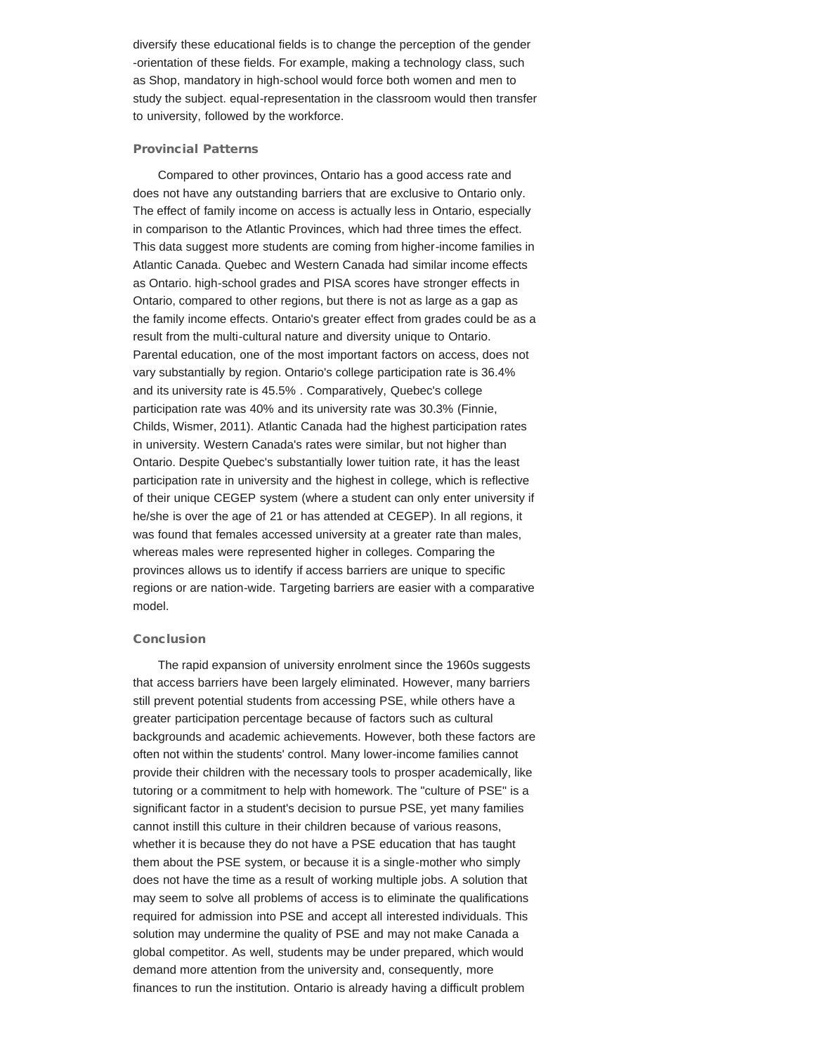diversify these educational fields is to change the perception of the gender -orientation of these fields. For example, making a technology class, such as Shop, mandatory in high-school would force both women and men to study the subject. equal-representation in the classroom would then transfer to university, followed by the workforce.

## Provincial Patterns

Compared to other provinces, Ontario has a good access rate and does not have any outstanding barriers that are exclusive to Ontario only. The effect of family income on access is actually less in Ontario, especially in comparison to the Atlantic Provinces, which had three times the effect. This data suggest more students are coming from higher-income families in Atlantic Canada. Quebec and Western Canada had similar income effects as Ontario. high-school grades and PISA scores have stronger effects in Ontario, compared to other regions, but there is not as large as a gap as the family income effects. Ontario's greater effect from grades could be as a result from the multi-cultural nature and diversity unique to Ontario. Parental education, one of the most important factors on access, does not vary substantially by region. Ontario's college participation rate is 36.4% and its university rate is 45.5% . Comparatively, Quebec's college participation rate was 40% and its university rate was 30.3% (Finnie, Childs, Wismer, 2011). Atlantic Canada had the highest participation rates in university. Western Canada's rates were similar, but not higher than Ontario. Despite Quebec's substantially lower tuition rate, it has the least participation rate in university and the highest in college, which is reflective of their unique CEGEP system (where a student can only enter university if he/she is over the age of 21 or has attended at CEGEP). In all regions, it was found that females accessed university at a greater rate than males, whereas males were represented higher in colleges. Comparing the provinces allows us to identify if access barriers are unique to specific regions or are nation-wide. Targeting barriers are easier with a comparative model.

#### Conclusion

The rapid expansion of university enrolment since the 1960s suggests that access barriers have been largely eliminated. However, many barriers still prevent potential students from accessing PSE, while others have a greater participation percentage because of factors such as cultural backgrounds and academic achievements. However, both these factors are often not within the students' control. Many lower-income families cannot provide their children with the necessary tools to prosper academically, like tutoring or a commitment to help with homework. The "culture of PSE" is a significant factor in a student's decision to pursue PSE, yet many families cannot instill this culture in their children because of various reasons, whether it is because they do not have a PSE education that has taught them about the PSE system, or because it is a single-mother who simply does not have the time as a result of working multiple jobs. A solution that may seem to solve all problems of access is to eliminate the qualifications required for admission into PSE and accept all interested individuals. This solution may undermine the quality of PSE and may not make Canada a global competitor. As well, students may be under prepared, which would demand more attention from the university and, consequently, more finances to run the institution. Ontario is already having a difficult problem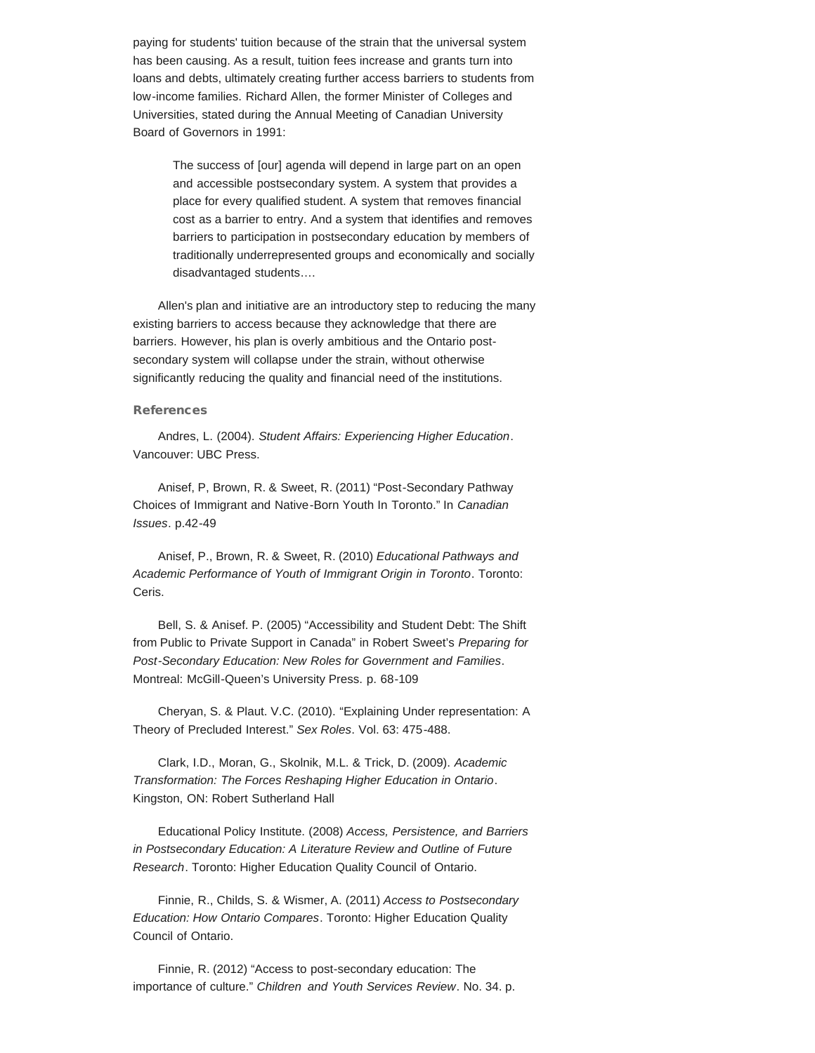paying for students' tuition because of the strain that the universal system has been causing. As a result, tuition fees increase and grants turn into loans and debts, ultimately creating further access barriers to students from low-income families. Richard Allen, the former Minister of Colleges and Universities, stated during the Annual Meeting of Canadian University Board of Governors in 1991:

The success of [our] agenda will depend in large part on an open and accessible postsecondary system. A system that provides a place for every qualified student. A system that removes financial cost as a barrier to entry. And a system that identifies and removes barriers to participation in postsecondary education by members of traditionally underrepresented groups and economically and socially disadvantaged students….

Allen's plan and initiative are an introductory step to reducing the many existing barriers to access because they acknowledge that there are barriers. However, his plan is overly ambitious and the Ontario postsecondary system will collapse under the strain, without otherwise significantly reducing the quality and financial need of the institutions.

#### References

Andres, L. (2004). *Student Affairs: Experiencing Higher Education*. Vancouver: UBC Press.

Anisef, P, Brown, R. & Sweet, R. (2011) "Post-Secondary Pathway Choices of Immigrant and Native-Born Youth In Toronto." In *Canadian Issues*. p.42-49

Anisef, P., Brown, R. & Sweet, R. (2010) *Educational Pathways and Academic Performance of Youth of Immigrant Origin in Toronto*. Toronto: Ceris.

Bell, S. & Anisef. P. (2005) "Accessibility and Student Debt: The Shift from Public to Private Support in Canada" in Robert Sweet's *Preparing for Post-Secondary Education: New Roles for Government and Families*. Montreal: McGill-Queen's University Press. p. 68-109

Cheryan, S. & Plaut. V.C. (2010). "Explaining Under representation: A Theory of Precluded Interest." *Sex Roles*. Vol. 63: 475-488.

Clark, I.D., Moran, G., Skolnik, M.L. & Trick, D. (2009). *Academic Transformation: The Forces Reshaping Higher Education in Ontario*. Kingston, ON: Robert Sutherland Hall

Educational Policy Institute. (2008) *Access, Persistence, and Barriers in Postsecondary Education: A Literature Review and Outline of Future Research*. Toronto: Higher Education Quality Council of Ontario.

Finnie, R., Childs, S. & Wismer, A. (2011) *Access to Postsecondary Education: How Ontario Compares*. Toronto: Higher Education Quality Council of Ontario.

Finnie, R. (2012) "Access to post-secondary education: The importance of culture." *Children and Youth Services Review*. No. 34. p.